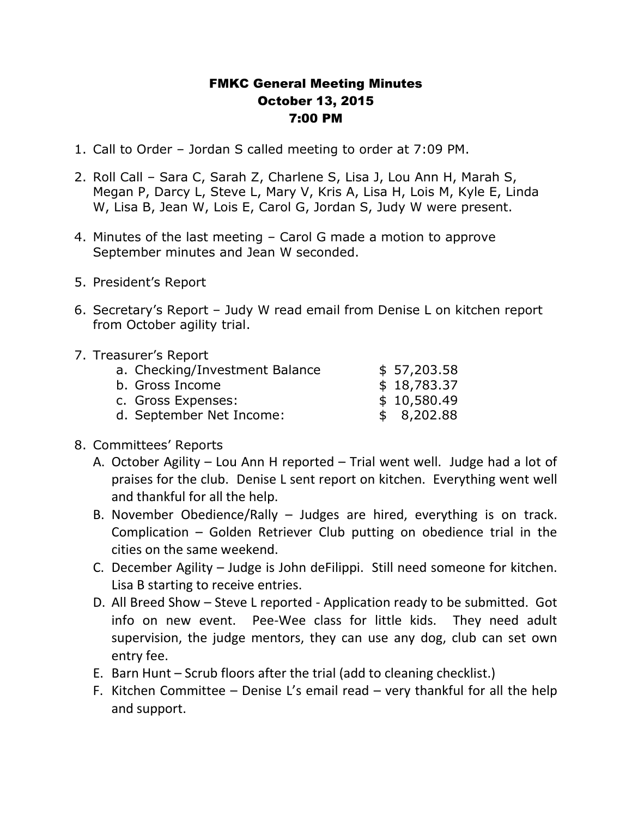## FMKC General Meeting Minutes October 13, 2015 7:00 PM

- 1. Call to Order Jordan S called meeting to order at 7:09 PM.
- 2. Roll Call Sara C, Sarah Z, Charlene S, Lisa J, Lou Ann H, Marah S, Megan P, Darcy L, Steve L, Mary V, Kris A, Lisa H, Lois M, Kyle E, Linda W, Lisa B, Jean W, Lois E, Carol G, Jordan S, Judy W were present.
- 4. Minutes of the last meeting Carol G made a motion to approve September minutes and Jean W seconded.
- 5. President's Report
- 6. Secretary's Report Judy W read email from Denise L on kitchen report from October agility trial.
- 7. Treasurer's Report

| a. Checking/Investment Balance | \$57,203.58 |
|--------------------------------|-------------|
| b. Gross Income                | \$18,783.37 |
| c. Gross Expenses:             | \$10,580.49 |
| d. September Net Income:       | \$8,202.88  |

- 8. Committees' Reports
	- A. October Agility Lou Ann H reported Trial went well. Judge had a lot of praises for the club. Denise L sent report on kitchen. Everything went well and thankful for all the help.
	- B. November Obedience/Rally Judges are hired, everything is on track. Complication – Golden Retriever Club putting on obedience trial in the cities on the same weekend.
	- C. December Agility Judge is John deFilippi. Still need someone for kitchen. Lisa B starting to receive entries.
	- D. All Breed Show Steve L reported Application ready to be submitted. Got info on new event. Pee-Wee class for little kids. They need adult supervision, the judge mentors, they can use any dog, club can set own entry fee.
	- E. Barn Hunt Scrub floors after the trial (add to cleaning checklist.)
	- F. Kitchen Committee Denise L's email read very thankful for all the help and support.